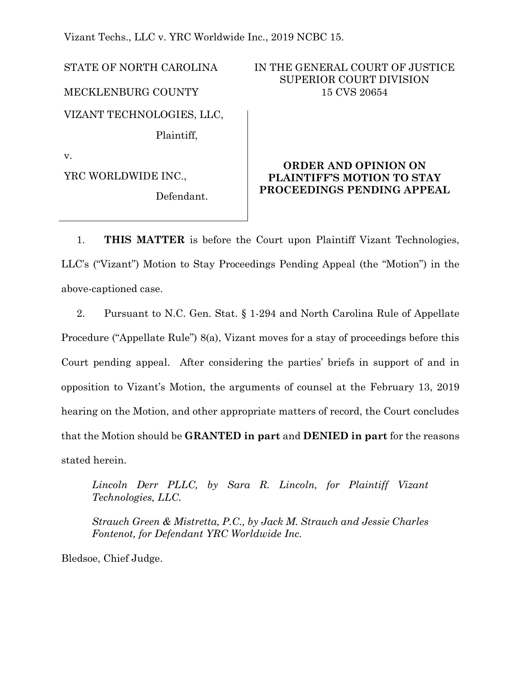Vizant Techs., LLC v. YRC Worldwide Inc., 2019 NCBC 15.

Defendant.

STATE OF NORTH CAROLINA MECKLENBURG COUNTY VIZANT TECHNOLOGIES, LLC, Plaintiff,

YRC WORLDWIDE INC.,

v.

IN THE GENERAL COURT OF JUSTICE SUPERIOR COURT DIVISION 15 CVS 20654

# **ORDER AND OPINION ON PLAINTIFF'S MOTION TO STAY PROCEEDINGS PENDING APPEAL**

1. **THIS MATTER** is before the Court upon Plaintiff Vizant Technologies, LLC's ("Vizant") Motion to Stay Proceedings Pending Appeal (the "Motion") in the above-captioned case.

2. Pursuant to N.C. Gen. Stat. § 1-294 and North Carolina Rule of Appellate Procedure ("Appellate Rule") 8(a), Vizant moves for a stay of proceedings before this Court pending appeal. After considering the parties' briefs in support of and in opposition to Vizant's Motion, the arguments of counsel at the February 13, 2019 hearing on the Motion, and other appropriate matters of record, the Court concludes that the Motion should be **GRANTED in part** and **DENIED in part** for the reasons stated herein.

*Lincoln Derr PLLC, by Sara R. Lincoln, for Plaintiff Vizant Technologies, LLC.*

*Strauch Green & Mistretta, P.C., by Jack M. Strauch and Jessie Charles Fontenot, for Defendant YRC Worldwide Inc.*

Bledsoe, Chief Judge.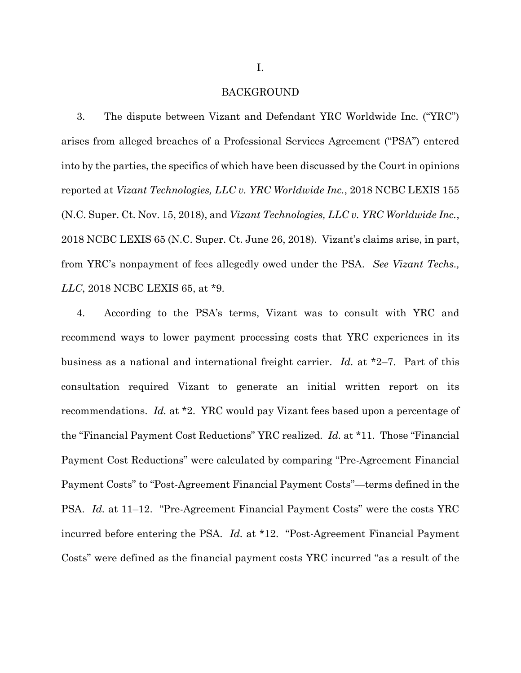#### BACKGROUND

3. The dispute between Vizant and Defendant YRC Worldwide Inc. ("YRC") arises from alleged breaches of a Professional Services Agreement ("PSA") entered into by the parties, the specifics of which have been discussed by the Court in opinions reported at *Vizant Technologies, LLC v. YRC Worldwide Inc.*, 2018 NCBC LEXIS 155 (N.C. Super. Ct. Nov. 15, 2018), and *Vizant Technologies, LLC v. YRC Worldwide Inc.*, 2018 NCBC LEXIS 65 (N.C. Super. Ct. June 26, 2018). Vizant's claims arise, in part, from YRC's nonpayment of fees allegedly owed under the PSA. *See Vizant Techs., LLC*, 2018 NCBC LEXIS 65, at \*9.

4. According to the PSA's terms, Vizant was to consult with YRC and recommend ways to lower payment processing costs that YRC experiences in its business as a national and international freight carrier. *Id.* at \*2–7. Part of this consultation required Vizant to generate an initial written report on its recommendations. *Id.* at \*2. YRC would pay Vizant fees based upon a percentage of the "Financial Payment Cost Reductions" YRC realized. *Id.* at \*11. Those "Financial Payment Cost Reductions" were calculated by comparing "Pre-Agreement Financial Payment Costs" to "Post-Agreement Financial Payment Costs"—terms defined in the PSA. *Id.* at 11–12. "Pre-Agreement Financial Payment Costs" were the costs YRC incurred before entering the PSA. *Id.* at \*12. "Post-Agreement Financial Payment Costs" were defined as the financial payment costs YRC incurred "as a result of the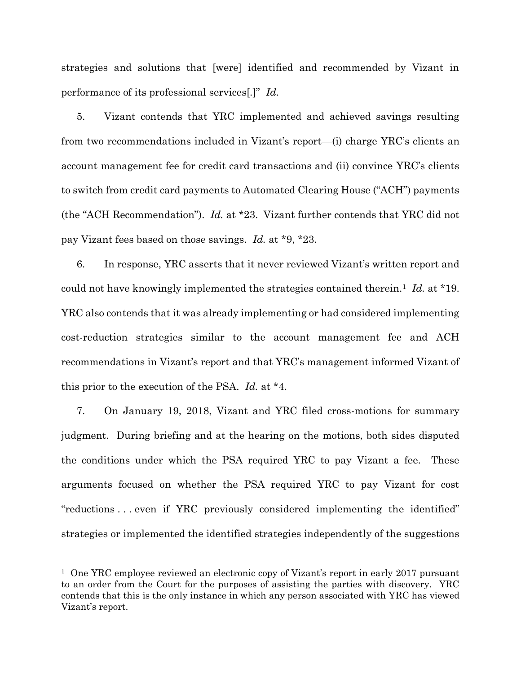strategies and solutions that [were] identified and recommended by Vizant in performance of its professional services[.]" *Id.*

5. Vizant contends that YRC implemented and achieved savings resulting from two recommendations included in Vizant's report—(i) charge YRC's clients an account management fee for credit card transactions and (ii) convince YRC's clients to switch from credit card payments to Automated Clearing House ("ACH") payments (the "ACH Recommendation"). *Id.* at \*23. Vizant further contends that YRC did not pay Vizant fees based on those savings. *Id.* at \*9, \*23.

6. In response, YRC asserts that it never reviewed Vizant's written report and could not have knowingly implemented the strategies contained therein.<sup>1</sup> *Id.* at \*19. YRC also contends that it was already implementing or had considered implementing cost-reduction strategies similar to the account management fee and ACH recommendations in Vizant's report and that YRC's management informed Vizant of this prior to the execution of the PSA. *Id.* at \*4.

7. On January 19, 2018, Vizant and YRC filed cross-motions for summary judgment. During briefing and at the hearing on the motions, both sides disputed the conditions under which the PSA required YRC to pay Vizant a fee. These arguments focused on whether the PSA required YRC to pay Vizant for cost "reductions . . . even if YRC previously considered implementing the identified" strategies or implemented the identified strategies independently of the suggestions

 $\overline{a}$ 

<sup>&</sup>lt;sup>1</sup> One YRC employee reviewed an electronic copy of Vizant's report in early 2017 pursuant to an order from the Court for the purposes of assisting the parties with discovery. YRC contends that this is the only instance in which any person associated with YRC has viewed Vizant's report.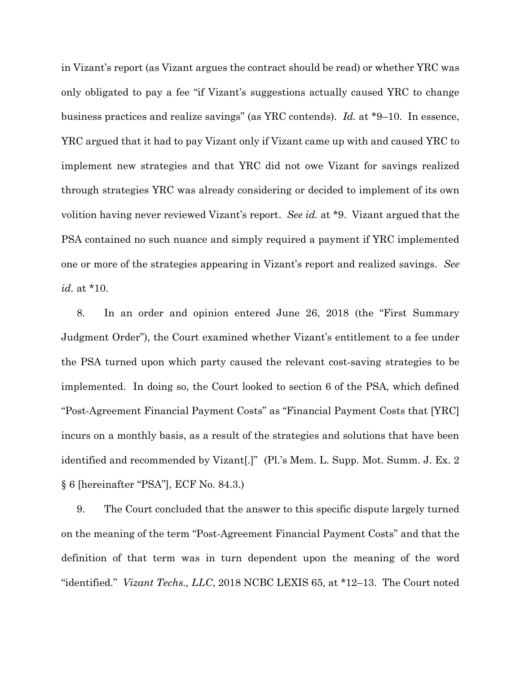in Vizant's report (as Vizant argues the contract should be read) or whether YRC was only obligated to pay a fee "if Vizant's suggestions actually caused YRC to change business practices and realize savings" (as YRC contends). *Id.* at \*9–10. In essence, YRC argued that it had to pay Vizant only if Vizant came up with and caused YRC to implement new strategies and that YRC did not owe Vizant for savings realized through strategies YRC was already considering or decided to implement of its own volition having never reviewed Vizant's report. *See id.* at \*9. Vizant argued that the PSA contained no such nuance and simply required a payment if YRC implemented one or more of the strategies appearing in Vizant's report and realized savings. *See id.* at \*10.

8. In an order and opinion entered June 26, 2018 (the "First Summary Judgment Order"), the Court examined whether Vizant's entitlement to a fee under the PSA turned upon which party caused the relevant cost-saving strategies to be implemented. In doing so, the Court looked to section 6 of the PSA, which defined "Post-Agreement Financial Payment Costs" as "Financial Payment Costs that [YRC] incurs on a monthly basis, as a result of the strategies and solutions that have been identified and recommended by Vizant[.]" (Pl.'s Mem. L. Supp. Mot. Summ. J. Ex. 2 § 6 [hereinafter "PSA"], ECF No. 84.3.)

9. The Court concluded that the answer to this specific dispute largely turned on the meaning of the term "Post-Agreement Financial Payment Costs" and that the definition of that term was in turn dependent upon the meaning of the word "identified." *Vizant Techs., LLC*, 2018 NCBC LEXIS 65, at \*12–13. The Court noted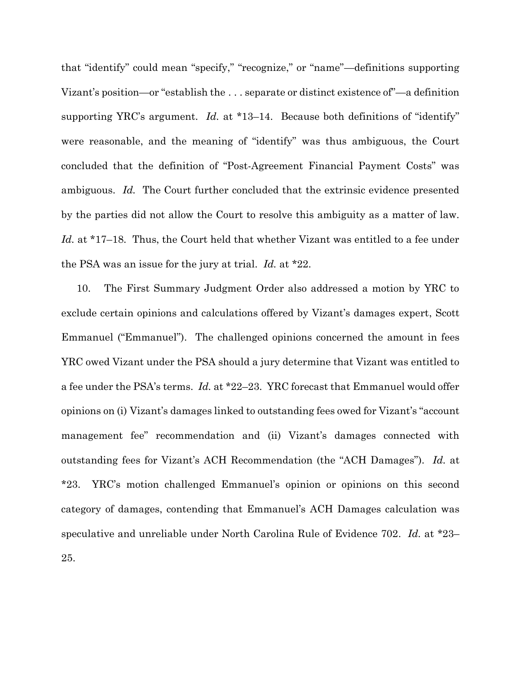that "identify" could mean "specify," "recognize," or "name"—definitions supporting Vizant's position—or "establish the . . . separate or distinct existence of"—a definition supporting YRC's argument. *Id.* at \*13–14. Because both definitions of "identify" were reasonable, and the meaning of "identify" was thus ambiguous, the Court concluded that the definition of "Post-Agreement Financial Payment Costs" was ambiguous. *Id.* The Court further concluded that the extrinsic evidence presented by the parties did not allow the Court to resolve this ambiguity as a matter of law. *Id.* at \*17–18. Thus, the Court held that whether Vizant was entitled to a fee under the PSA was an issue for the jury at trial. *Id.* at \*22.

10. The First Summary Judgment Order also addressed a motion by YRC to exclude certain opinions and calculations offered by Vizant's damages expert, Scott Emmanuel ("Emmanuel"). The challenged opinions concerned the amount in fees YRC owed Vizant under the PSA should a jury determine that Vizant was entitled to a fee under the PSA's terms. *Id.* at \*22–23. YRC forecast that Emmanuel would offer opinions on (i) Vizant's damages linked to outstanding fees owed for Vizant's "account management fee" recommendation and (ii) Vizant's damages connected with outstanding fees for Vizant's ACH Recommendation (the "ACH Damages"). *Id.* at \*23. YRC's motion challenged Emmanuel's opinion or opinions on this second category of damages, contending that Emmanuel's ACH Damages calculation was speculative and unreliable under North Carolina Rule of Evidence 702. *Id.* at \*23– 25.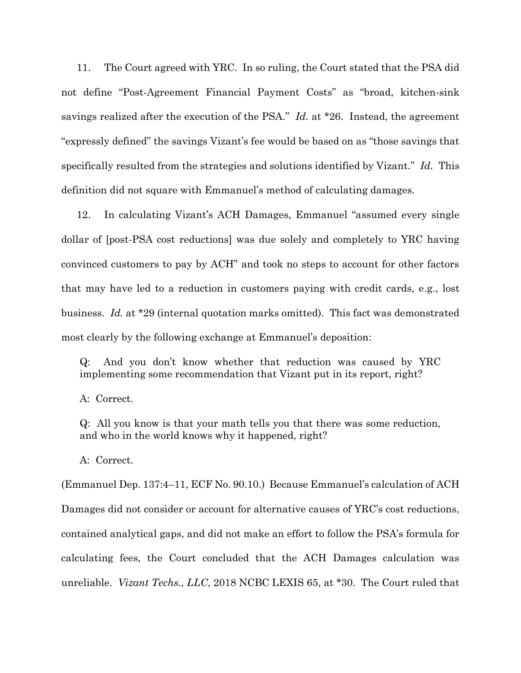11. The Court agreed with YRC. In so ruling, the Court stated that the PSA did not define "Post-Agreement Financial Payment Costs" as "broad, kitchen-sink savings realized after the execution of the PSA." *Id.* at \*26. Instead, the agreement "expressly defined" the savings Vizant's fee would be based on as "those savings that specifically resulted from the strategies and solutions identified by Vizant." *Id.* This definition did not square with Emmanuel's method of calculating damages.

12. In calculating Vizant's ACH Damages, Emmanuel "assumed every single dollar of [post-PSA cost reductions] was due solely and completely to YRC having convinced customers to pay by ACH" and took no steps to account for other factors that may have led to a reduction in customers paying with credit cards, e.g., lost business. *Id.* at \*29 (internal quotation marks omitted). This fact was demonstrated most clearly by the following exchange at Emmanuel's deposition:

Q: And you don't know whether that reduction was caused by YRC implementing some recommendation that Vizant put in its report, right?

A: Correct.

Q: All you know is that your math tells you that there was some reduction, and who in the world knows why it happened, right?

A: Correct.

(Emmanuel Dep. 137:4–11, ECF No. 90.10.) Because Emmanuel's calculation of ACH Damages did not consider or account for alternative causes of YRC's cost reductions, contained analytical gaps, and did not make an effort to follow the PSA's formula for calculating fees, the Court concluded that the ACH Damages calculation was unreliable. *Vizant Techs., LLC*, 2018 NCBC LEXIS 65, at \*30. The Court ruled that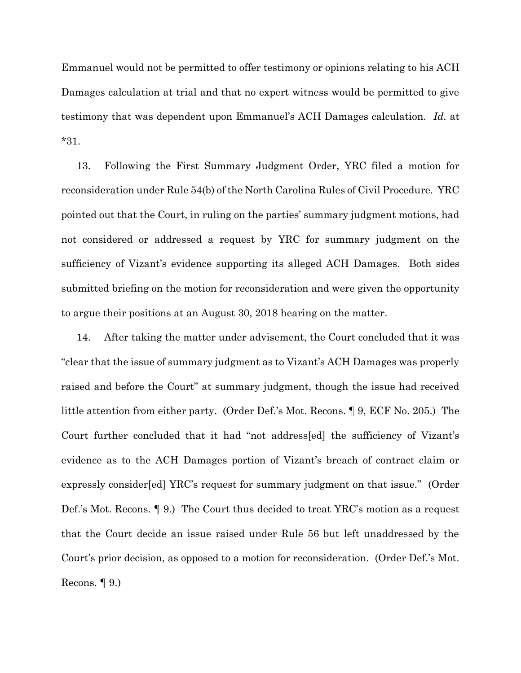Emmanuel would not be permitted to offer testimony or opinions relating to his ACH Damages calculation at trial and that no expert witness would be permitted to give testimony that was dependent upon Emmanuel's ACH Damages calculation. *Id.* at \*31.

13. Following the First Summary Judgment Order, YRC filed a motion for reconsideration under Rule 54(b) of the North Carolina Rules of Civil Procedure. YRC pointed out that the Court, in ruling on the parties' summary judgment motions, had not considered or addressed a request by YRC for summary judgment on the sufficiency of Vizant's evidence supporting its alleged ACH Damages. Both sides submitted briefing on the motion for reconsideration and were given the opportunity to argue their positions at an August 30, 2018 hearing on the matter.

14. After taking the matter under advisement, the Court concluded that it was "clear that the issue of summary judgment as to Vizant's ACH Damages was properly raised and before the Court" at summary judgment, though the issue had received little attention from either party. (Order Def.'s Mot. Recons. ¶ 9, ECF No. 205.) The Court further concluded that it had "not address[ed] the sufficiency of Vizant's evidence as to the ACH Damages portion of Vizant's breach of contract claim or expressly consider[ed] YRC's request for summary judgment on that issue." (Order Def.'s Mot. Recons. ¶ 9.) The Court thus decided to treat YRC's motion as a request that the Court decide an issue raised under Rule 56 but left unaddressed by the Court's prior decision, as opposed to a motion for reconsideration. (Order Def.'s Mot. Recons.  $\llbracket 9.$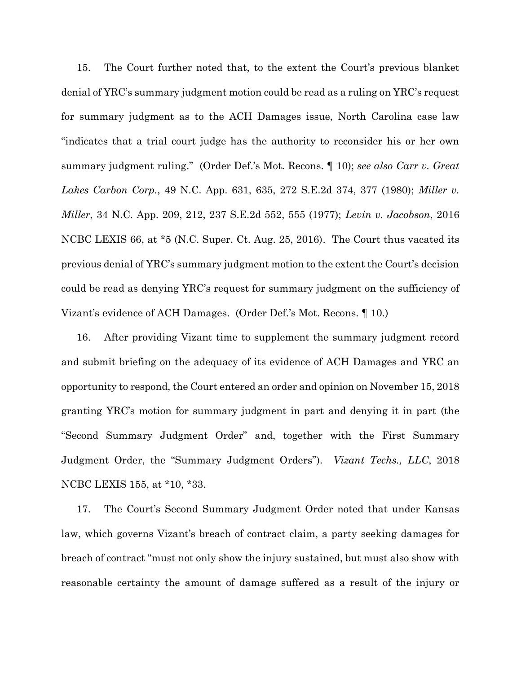15. The Court further noted that, to the extent the Court's previous blanket denial of YRC's summary judgment motion could be read as a ruling on YRC's request for summary judgment as to the ACH Damages issue, North Carolina case law "indicates that a trial court judge has the authority to reconsider his or her own summary judgment ruling." (Order Def.'s Mot. Recons. ¶ 10); *see also Carr v. Great Lakes Carbon Corp.*, 49 N.C. App. 631, 635, 272 S.E.2d 374, 377 (1980); *Miller v. Miller*, 34 N.C. App. 209, 212, 237 S.E.2d 552, 555 (1977); *Levin v. Jacobson*, 2016 NCBC LEXIS 66, at \*5 (N.C. Super. Ct. Aug. 25, 2016). The Court thus vacated its previous denial of YRC's summary judgment motion to the extent the Court's decision could be read as denying YRC's request for summary judgment on the sufficiency of Vizant's evidence of ACH Damages. (Order Def.'s Mot. Recons. ¶ 10.)

16. After providing Vizant time to supplement the summary judgment record and submit briefing on the adequacy of its evidence of ACH Damages and YRC an opportunity to respond, the Court entered an order and opinion on November 15, 2018 granting YRC's motion for summary judgment in part and denying it in part (the "Second Summary Judgment Order" and, together with the First Summary Judgment Order, the "Summary Judgment Orders"). *Vizant Techs., LLC*, 2018 NCBC LEXIS 155, at \*10, \*33.

17. The Court's Second Summary Judgment Order noted that under Kansas law, which governs Vizant's breach of contract claim, a party seeking damages for breach of contract "must not only show the injury sustained, but must also show with reasonable certainty the amount of damage suffered as a result of the injury or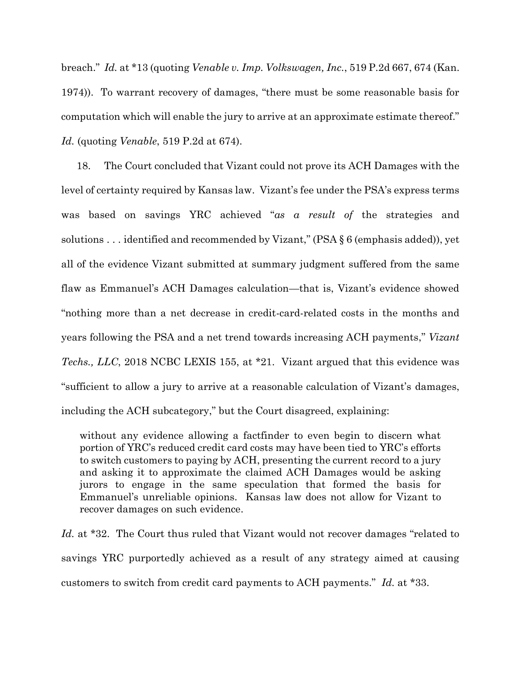breach." *Id.* at \*13 (quoting *Venable v. Imp. Volkswagen, Inc.*, 519 P.2d 667, 674 (Kan. 1974)). To warrant recovery of damages, "there must be some reasonable basis for computation which will enable the jury to arrive at an approximate estimate thereof." *Id.* (quoting *Venable*, 519 P.2d at 674).

18. The Court concluded that Vizant could not prove its ACH Damages with the level of certainty required by Kansas law. Vizant's fee under the PSA's express terms was based on savings YRC achieved "*as a result of* the strategies and solutions . . . identified and recommended by Vizant," (PSA  $\S$  6 (emphasis added)), yet all of the evidence Vizant submitted at summary judgment suffered from the same flaw as Emmanuel's ACH Damages calculation—that is, Vizant's evidence showed "nothing more than a net decrease in credit-card-related costs in the months and years following the PSA and a net trend towards increasing ACH payments," *Vizant Techs., LLC*, 2018 NCBC LEXIS 155, at \*21. Vizant argued that this evidence was "sufficient to allow a jury to arrive at a reasonable calculation of Vizant's damages, including the ACH subcategory," but the Court disagreed, explaining:

without any evidence allowing a factfinder to even begin to discern what portion of YRC's reduced credit card costs may have been tied to YRC's efforts to switch customers to paying by ACH, presenting the current record to a jury and asking it to approximate the claimed ACH Damages would be asking jurors to engage in the same speculation that formed the basis for Emmanuel's unreliable opinions. Kansas law does not allow for Vizant to recover damages on such evidence.

*Id.* at \*32. The Court thus ruled that Vizant would not recover damages "related to savings YRC purportedly achieved as a result of any strategy aimed at causing customers to switch from credit card payments to ACH payments." *Id.* at \*33.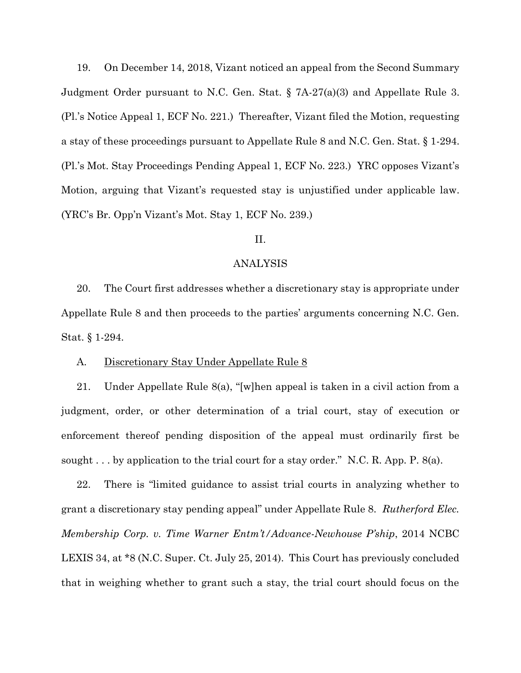19. On December 14, 2018, Vizant noticed an appeal from the Second Summary Judgment Order pursuant to N.C. Gen. Stat. § 7A-27(a)(3) and Appellate Rule 3. (Pl.'s Notice Appeal 1, ECF No. 221.) Thereafter, Vizant filed the Motion, requesting a stay of these proceedings pursuant to Appellate Rule 8 and N.C. Gen. Stat. § 1-294. (Pl.'s Mot. Stay Proceedings Pending Appeal 1, ECF No. 223.) YRC opposes Vizant's Motion, arguing that Vizant's requested stay is unjustified under applicable law. (YRC's Br. Opp'n Vizant's Mot. Stay 1, ECF No. 239.)

# II.

### ANALYSIS

20. The Court first addresses whether a discretionary stay is appropriate under Appellate Rule 8 and then proceeds to the parties' arguments concerning N.C. Gen. Stat. § 1-294.

### A. Discretionary Stay Under Appellate Rule 8

21. Under Appellate Rule 8(a), "[w]hen appeal is taken in a civil action from a judgment, order, or other determination of a trial court, stay of execution or enforcement thereof pending disposition of the appeal must ordinarily first be sought . . . by application to the trial court for a stay order." N.C. R. App. P.  $8(a)$ .

22. There is "limited guidance to assist trial courts in analyzing whether to grant a discretionary stay pending appeal" under Appellate Rule 8. *Rutherford Elec. Membership Corp. v. Time Warner Entm't/Advance-Newhouse P'ship*, 2014 NCBC LEXIS 34, at \*8 (N.C. Super. Ct. July 25, 2014). This Court has previously concluded that in weighing whether to grant such a stay, the trial court should focus on the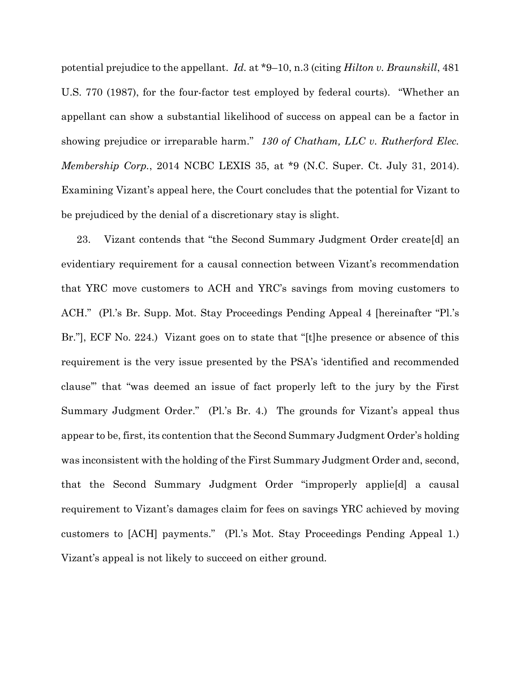potential prejudice to the appellant. *Id.* at \*9–10, n.3 (citing *Hilton v. Braunskill*, 481 U.S. 770 (1987), for the four-factor test employed by federal courts). "Whether an appellant can show a substantial likelihood of success on appeal can be a factor in showing prejudice or irreparable harm." *130 of Chatham, LLC v. Rutherford Elec. Membership Corp.*, 2014 NCBC LEXIS 35, at \*9 (N.C. Super. Ct. July 31, 2014). Examining Vizant's appeal here, the Court concludes that the potential for Vizant to be prejudiced by the denial of a discretionary stay is slight.

23. Vizant contends that "the Second Summary Judgment Order create[d] an evidentiary requirement for a causal connection between Vizant's recommendation that YRC move customers to ACH and YRC's savings from moving customers to ACH." (Pl.'s Br. Supp. Mot. Stay Proceedings Pending Appeal 4 [hereinafter "Pl.'s Br."], ECF No. 224.) Vizant goes on to state that "[t]he presence or absence of this requirement is the very issue presented by the PSA's 'identified and recommended clause'" that "was deemed an issue of fact properly left to the jury by the First Summary Judgment Order." (Pl.'s Br. 4.) The grounds for Vizant's appeal thus appear to be, first, its contention that the Second Summary Judgment Order's holding was inconsistent with the holding of the First Summary Judgment Order and, second, that the Second Summary Judgment Order "improperly applie[d] a causal requirement to Vizant's damages claim for fees on savings YRC achieved by moving customers to [ACH] payments." (Pl.'s Mot. Stay Proceedings Pending Appeal 1.) Vizant's appeal is not likely to succeed on either ground.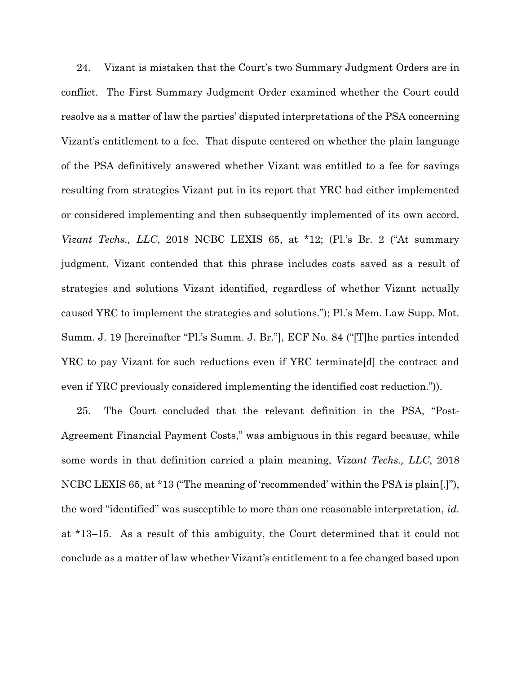24. Vizant is mistaken that the Court's two Summary Judgment Orders are in conflict. The First Summary Judgment Order examined whether the Court could resolve as a matter of law the parties' disputed interpretations of the PSA concerning Vizant's entitlement to a fee. That dispute centered on whether the plain language of the PSA definitively answered whether Vizant was entitled to a fee for savings resulting from strategies Vizant put in its report that YRC had either implemented or considered implementing and then subsequently implemented of its own accord. *Vizant Techs., LLC*, 2018 NCBC LEXIS 65, at \*12; (Pl.'s Br. 2 ("At summary judgment, Vizant contended that this phrase includes costs saved as a result of strategies and solutions Vizant identified, regardless of whether Vizant actually caused YRC to implement the strategies and solutions."); Pl.'s Mem. Law Supp. Mot. Summ. J. 19 [hereinafter "Pl.'s Summ. J. Br."], ECF No. 84 ("[T]he parties intended YRC to pay Vizant for such reductions even if YRC terminate[d] the contract and even if YRC previously considered implementing the identified cost reduction.")).

25. The Court concluded that the relevant definition in the PSA, "Post-Agreement Financial Payment Costs," was ambiguous in this regard because, while some words in that definition carried a plain meaning, *Vizant Techs., LLC*, 2018 NCBC LEXIS 65, at \*13 ("The meaning of 'recommended' within the PSA is plain[.]"), the word "identified" was susceptible to more than one reasonable interpretation, *id.* at \*13–15. As a result of this ambiguity, the Court determined that it could not conclude as a matter of law whether Vizant's entitlement to a fee changed based upon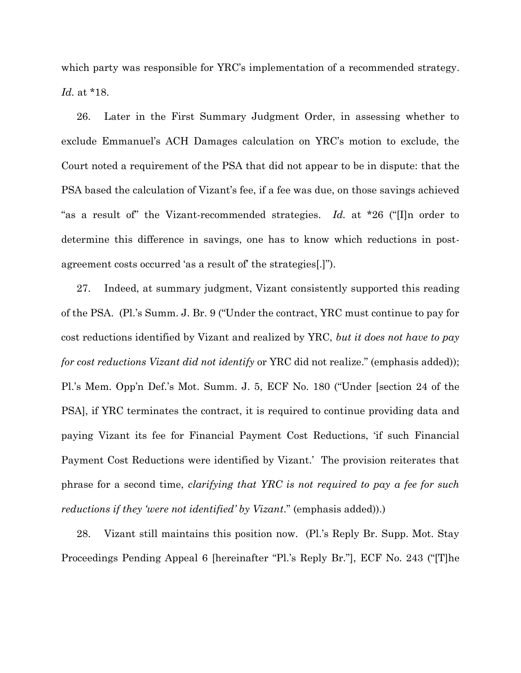which party was responsible for YRC's implementation of a recommended strategy. *Id.* at \*18.

26. Later in the First Summary Judgment Order, in assessing whether to exclude Emmanuel's ACH Damages calculation on YRC's motion to exclude, the Court noted a requirement of the PSA that did not appear to be in dispute: that the PSA based the calculation of Vizant's fee, if a fee was due, on those savings achieved "as a result of" the Vizant-recommended strategies. *Id.* at \*26 ("[I]n order to determine this difference in savings, one has to know which reductions in postagreement costs occurred 'as a result of' the strategies[.]").

27. Indeed, at summary judgment, Vizant consistently supported this reading of the PSA. (Pl.'s Summ. J. Br. 9 ("Under the contract, YRC must continue to pay for cost reductions identified by Vizant and realized by YRC, *but it does not have to pay for cost reductions Vizant did not identify* or YRC did not realize." (emphasis added)); Pl.'s Mem. Opp'n Def.'s Mot. Summ. J. 5, ECF No. 180 ("Under [section 24 of the PSA], if YRC terminates the contract, it is required to continue providing data and paying Vizant its fee for Financial Payment Cost Reductions, 'if such Financial Payment Cost Reductions were identified by Vizant.' The provision reiterates that phrase for a second time, *clarifying that YRC is not required to pay a fee for such reductions if they 'were not identified' by Vizant*." (emphasis added)).)

28. Vizant still maintains this position now. (Pl.'s Reply Br. Supp. Mot. Stay Proceedings Pending Appeal 6 [hereinafter "Pl.'s Reply Br."], ECF No. 243 ("[T]he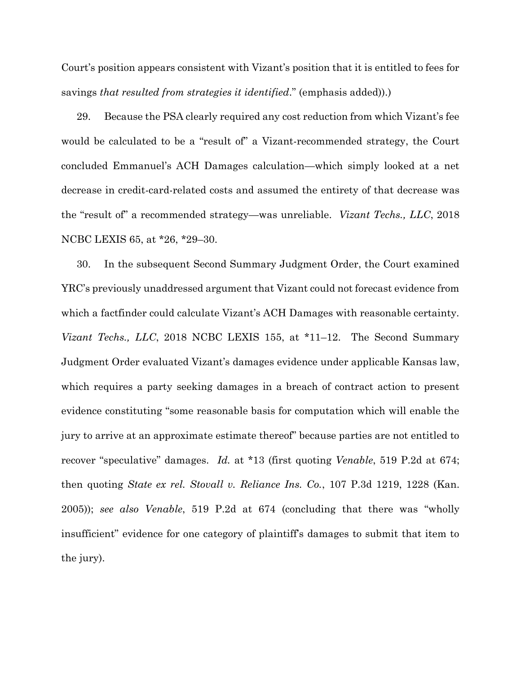Court's position appears consistent with Vizant's position that it is entitled to fees for savings *that resulted from strategies it identified*." (emphasis added)).)

29. Because the PSA clearly required any cost reduction from which Vizant's fee would be calculated to be a "result of" a Vizant-recommended strategy, the Court concluded Emmanuel's ACH Damages calculation—which simply looked at a net decrease in credit-card-related costs and assumed the entirety of that decrease was the "result of" a recommended strategy—was unreliable. *Vizant Techs., LLC*, 2018 NCBC LEXIS 65, at \*26, \*29–30.

30. In the subsequent Second Summary Judgment Order, the Court examined YRC's previously unaddressed argument that Vizant could not forecast evidence from which a factfinder could calculate Vizant's ACH Damages with reasonable certainty. *Vizant Techs., LLC*, 2018 NCBC LEXIS 155, at \*11–12. The Second Summary Judgment Order evaluated Vizant's damages evidence under applicable Kansas law, which requires a party seeking damages in a breach of contract action to present evidence constituting "some reasonable basis for computation which will enable the jury to arrive at an approximate estimate thereof" because parties are not entitled to recover "speculative" damages. *Id.* at \*13 (first quoting *Venable*, 519 P.2d at 674; then quoting *State ex rel. Stovall v. Reliance Ins. Co.*, 107 P.3d 1219, 1228 (Kan. 2005)); *see also Venable*, 519 P.2d at 674 (concluding that there was "wholly insufficient" evidence for one category of plaintiff's damages to submit that item to the jury).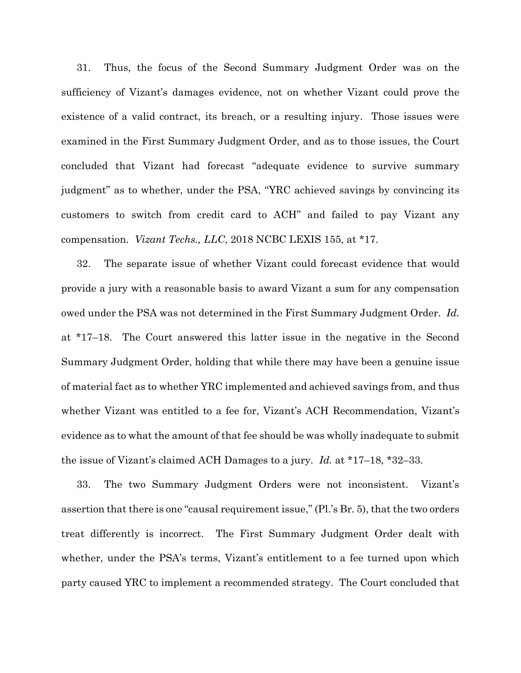31. Thus, the focus of the Second Summary Judgment Order was on the sufficiency of Vizant's damages evidence, not on whether Vizant could prove the existence of a valid contract, its breach, or a resulting injury. Those issues were examined in the First Summary Judgment Order, and as to those issues, the Court concluded that Vizant had forecast "adequate evidence to survive summary judgment" as to whether, under the PSA, "YRC achieved savings by convincing its customers to switch from credit card to ACH" and failed to pay Vizant any compensation. *Vizant Techs., LLC*, 2018 NCBC LEXIS 155, at \*17.

32. The separate issue of whether Vizant could forecast evidence that would provide a jury with a reasonable basis to award Vizant a sum for any compensation owed under the PSA was not determined in the First Summary Judgment Order. *Id.* at \*17–18. The Court answered this latter issue in the negative in the Second Summary Judgment Order, holding that while there may have been a genuine issue of material fact as to whether YRC implemented and achieved savings from, and thus whether Vizant was entitled to a fee for, Vizant's ACH Recommendation, Vizant's evidence as to what the amount of that fee should be was wholly inadequate to submit the issue of Vizant's claimed ACH Damages to a jury. *Id.* at \*17–18, \*32–33.

33. The two Summary Judgment Orders were not inconsistent. Vizant's assertion that there is one "causal requirement issue," (Pl.'s Br. 5), that the two orders treat differently is incorrect. The First Summary Judgment Order dealt with whether, under the PSA's terms, Vizant's entitlement to a fee turned upon which party caused YRC to implement a recommended strategy. The Court concluded that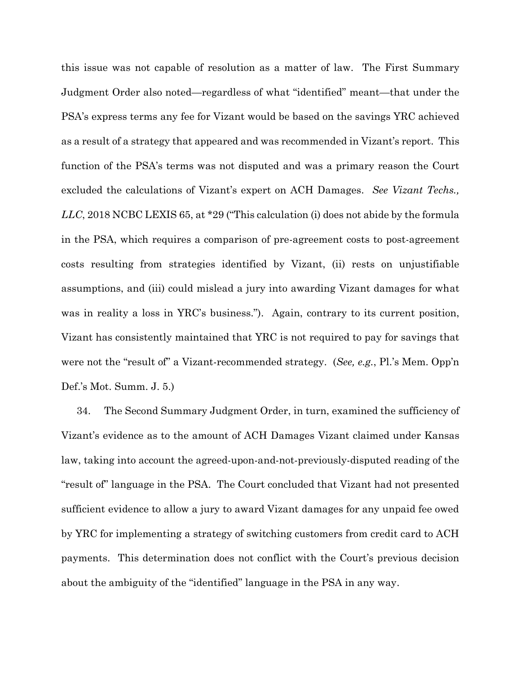this issue was not capable of resolution as a matter of law. The First Summary Judgment Order also noted—regardless of what "identified" meant—that under the PSA's express terms any fee for Vizant would be based on the savings YRC achieved as a result of a strategy that appeared and was recommended in Vizant's report. This function of the PSA's terms was not disputed and was a primary reason the Court excluded the calculations of Vizant's expert on ACH Damages. *See Vizant Techs., LLC*, 2018 NCBC LEXIS 65, at \*29 ("This calculation (i) does not abide by the formula in the PSA, which requires a comparison of pre-agreement costs to post-agreement costs resulting from strategies identified by Vizant, (ii) rests on unjustifiable assumptions, and (iii) could mislead a jury into awarding Vizant damages for what was in reality a loss in YRC's business."). Again, contrary to its current position, Vizant has consistently maintained that YRC is not required to pay for savings that were not the "result of" a Vizant-recommended strategy. (*See, e.g.*, Pl.'s Mem. Opp'n Def.'s Mot. Summ. J. 5.)

34. The Second Summary Judgment Order, in turn, examined the sufficiency of Vizant's evidence as to the amount of ACH Damages Vizant claimed under Kansas law, taking into account the agreed-upon-and-not-previously-disputed reading of the "result of" language in the PSA. The Court concluded that Vizant had not presented sufficient evidence to allow a jury to award Vizant damages for any unpaid fee owed by YRC for implementing a strategy of switching customers from credit card to ACH payments. This determination does not conflict with the Court's previous decision about the ambiguity of the "identified" language in the PSA in any way.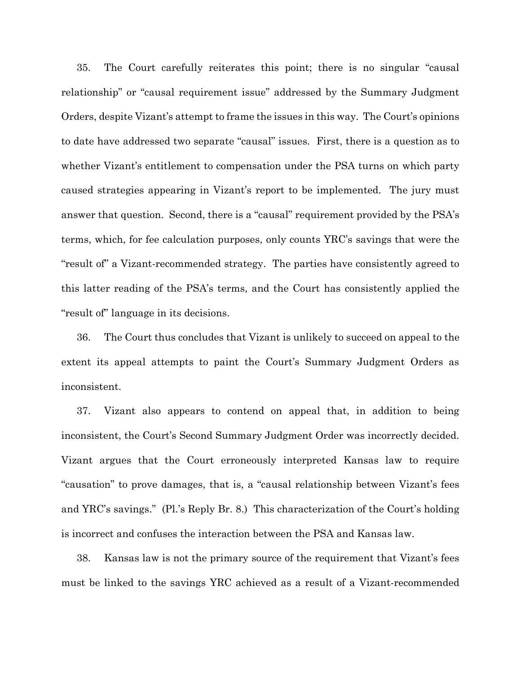35. The Court carefully reiterates this point; there is no singular "causal relationship" or "causal requirement issue" addressed by the Summary Judgment Orders, despite Vizant's attempt to frame the issues in this way. The Court's opinions to date have addressed two separate "causal" issues. First, there is a question as to whether Vizant's entitlement to compensation under the PSA turns on which party caused strategies appearing in Vizant's report to be implemented. The jury must answer that question. Second, there is a "causal" requirement provided by the PSA's terms, which, for fee calculation purposes, only counts YRC's savings that were the "result of" a Vizant-recommended strategy. The parties have consistently agreed to this latter reading of the PSA's terms, and the Court has consistently applied the "result of" language in its decisions.

36. The Court thus concludes that Vizant is unlikely to succeed on appeal to the extent its appeal attempts to paint the Court's Summary Judgment Orders as inconsistent.

37. Vizant also appears to contend on appeal that, in addition to being inconsistent, the Court's Second Summary Judgment Order was incorrectly decided. Vizant argues that the Court erroneously interpreted Kansas law to require "causation" to prove damages, that is, a "causal relationship between Vizant's fees and YRC's savings." (Pl.'s Reply Br. 8.) This characterization of the Court's holding is incorrect and confuses the interaction between the PSA and Kansas law.

38. Kansas law is not the primary source of the requirement that Vizant's fees must be linked to the savings YRC achieved as a result of a Vizant-recommended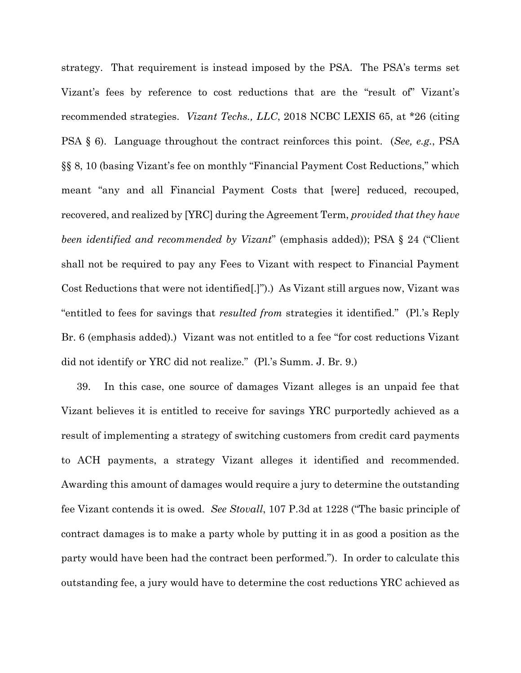strategy. That requirement is instead imposed by the PSA. The PSA's terms set Vizant's fees by reference to cost reductions that are the "result of" Vizant's recommended strategies. *Vizant Techs., LLC*, 2018 NCBC LEXIS 65, at \*26 (citing PSA § 6). Language throughout the contract reinforces this point. (*See, e.g.*, PSA §§ 8, 10 (basing Vizant's fee on monthly "Financial Payment Cost Reductions," which meant "any and all Financial Payment Costs that [were] reduced, recouped, recovered, and realized by [YRC] during the Agreement Term, *provided that they have been identified and recommended by Vizant*" (emphasis added)); PSA § 24 ("Client shall not be required to pay any Fees to Vizant with respect to Financial Payment Cost Reductions that were not identified[.]").) As Vizant still argues now, Vizant was "entitled to fees for savings that *resulted from* strategies it identified." (Pl.'s Reply Br. 6 (emphasis added).) Vizant was not entitled to a fee "for cost reductions Vizant did not identify or YRC did not realize." (Pl.'s Summ. J. Br. 9.)

39. In this case, one source of damages Vizant alleges is an unpaid fee that Vizant believes it is entitled to receive for savings YRC purportedly achieved as a result of implementing a strategy of switching customers from credit card payments to ACH payments, a strategy Vizant alleges it identified and recommended. Awarding this amount of damages would require a jury to determine the outstanding fee Vizant contends it is owed. *See Stovall*, 107 P.3d at 1228 ("The basic principle of contract damages is to make a party whole by putting it in as good a position as the party would have been had the contract been performed."). In order to calculate this outstanding fee, a jury would have to determine the cost reductions YRC achieved as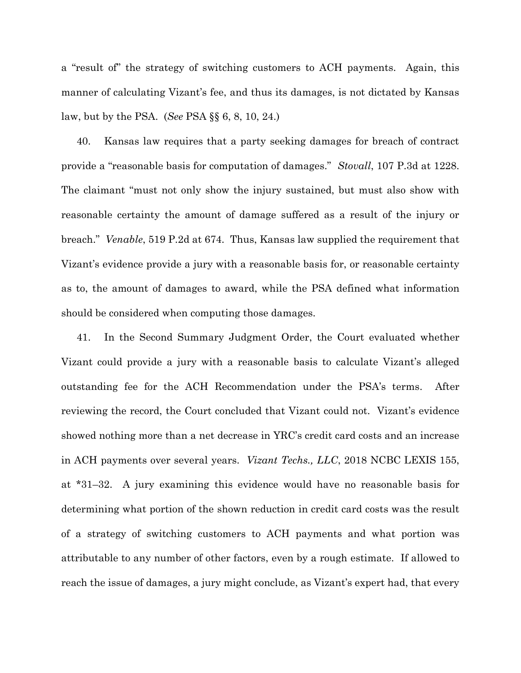a "result of" the strategy of switching customers to ACH payments. Again, this manner of calculating Vizant's fee, and thus its damages, is not dictated by Kansas law, but by the PSA. (*See* PSA §§ 6, 8, 10, 24.)

40. Kansas law requires that a party seeking damages for breach of contract provide a "reasonable basis for computation of damages." *Stovall*, 107 P.3d at 1228. The claimant "must not only show the injury sustained, but must also show with reasonable certainty the amount of damage suffered as a result of the injury or breach." *Venable*, 519 P.2d at 674. Thus, Kansas law supplied the requirement that Vizant's evidence provide a jury with a reasonable basis for, or reasonable certainty as to, the amount of damages to award, while the PSA defined what information should be considered when computing those damages.

41. In the Second Summary Judgment Order, the Court evaluated whether Vizant could provide a jury with a reasonable basis to calculate Vizant's alleged outstanding fee for the ACH Recommendation under the PSA's terms. After reviewing the record, the Court concluded that Vizant could not. Vizant's evidence showed nothing more than a net decrease in YRC's credit card costs and an increase in ACH payments over several years. *Vizant Techs., LLC*, 2018 NCBC LEXIS 155, at \*31–32. A jury examining this evidence would have no reasonable basis for determining what portion of the shown reduction in credit card costs was the result of a strategy of switching customers to ACH payments and what portion was attributable to any number of other factors, even by a rough estimate. If allowed to reach the issue of damages, a jury might conclude, as Vizant's expert had, that every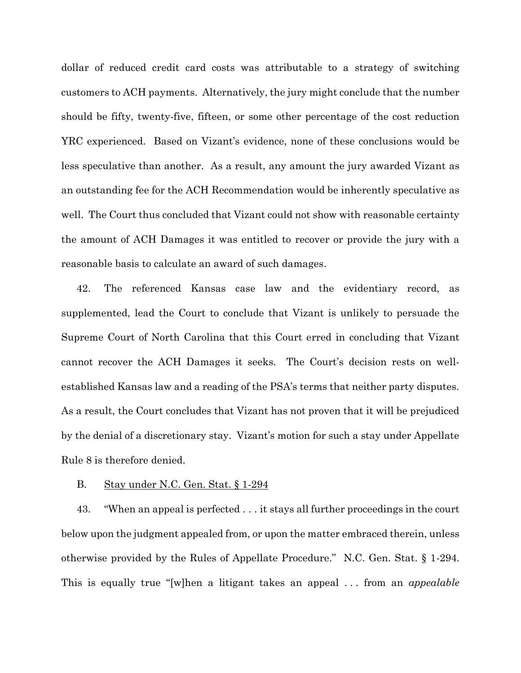dollar of reduced credit card costs was attributable to a strategy of switching customers to ACH payments. Alternatively, the jury might conclude that the number should be fifty, twenty-five, fifteen, or some other percentage of the cost reduction YRC experienced. Based on Vizant's evidence, none of these conclusions would be less speculative than another. As a result, any amount the jury awarded Vizant as an outstanding fee for the ACH Recommendation would be inherently speculative as well. The Court thus concluded that Vizant could not show with reasonable certainty the amount of ACH Damages it was entitled to recover or provide the jury with a reasonable basis to calculate an award of such damages.

42. The referenced Kansas case law and the evidentiary record, as supplemented, lead the Court to conclude that Vizant is unlikely to persuade the Supreme Court of North Carolina that this Court erred in concluding that Vizant cannot recover the ACH Damages it seeks. The Court's decision rests on wellestablished Kansas law and a reading of the PSA's terms that neither party disputes. As a result, the Court concludes that Vizant has not proven that it will be prejudiced by the denial of a discretionary stay. Vizant's motion for such a stay under Appellate Rule 8 is therefore denied.

### B. Stay under N.C. Gen. Stat. § 1-294

43. "When an appeal is perfected . . . it stays all further proceedings in the court below upon the judgment appealed from, or upon the matter embraced therein, unless otherwise provided by the Rules of Appellate Procedure." N.C. Gen. Stat. § 1-294. This is equally true "[w]hen a litigant takes an appeal . . . from an *appealable*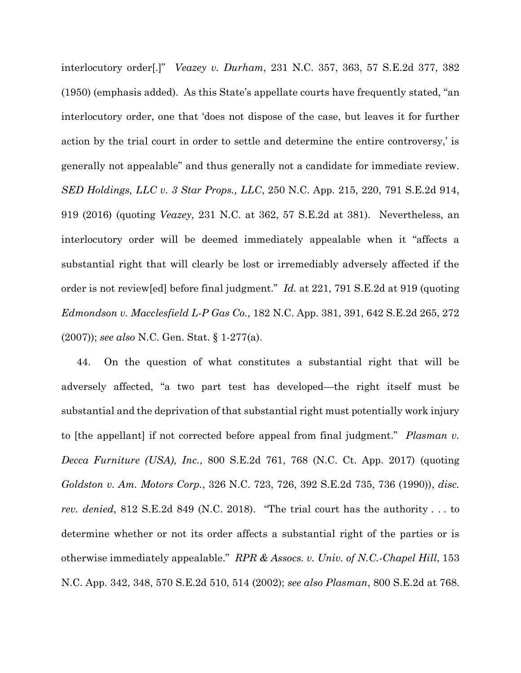interlocutory order[.]" *Veazey v. Durham*, 231 N.C. 357, 363, 57 S.E.2d 377, 382 (1950) (emphasis added). As this State's appellate courts have frequently stated, "an interlocutory order, one that 'does not dispose of the case, but leaves it for further action by the trial court in order to settle and determine the entire controversy,' is generally not appealable" and thus generally not a candidate for immediate review. *SED Holdings, LLC v. 3 Star Props., LLC*, 250 N.C. App. 215, 220, 791 S.E.2d 914, 919 (2016) (quoting *Veazey*, 231 N.C. at 362, 57 S.E.2d at 381). Nevertheless, an interlocutory order will be deemed immediately appealable when it "affects a substantial right that will clearly be lost or irremediably adversely affected if the order is not review[ed] before final judgment." *Id.* at 221, 791 S.E.2d at 919 (quoting *Edmondson v. Macclesfield L-P Gas Co.*, 182 N.C. App. 381, 391, 642 S.E.2d 265, 272 (2007)); *see also* N.C. Gen. Stat. § 1-277(a).

44. On the question of what constitutes a substantial right that will be adversely affected, "a two part test has developed—the right itself must be substantial and the deprivation of that substantial right must potentially work injury to [the appellant] if not corrected before appeal from final judgment." *Plasman v. Decca Furniture (USA), Inc.*, 800 S.E.2d 761, 768 (N.C. Ct. App. 2017) (quoting *Goldston v. Am. Motors Corp.*, 326 N.C. 723, 726, 392 S.E.2d 735, 736 (1990)), *disc. rev. denied*, 812 S.E.2d 849 (N.C. 2018). "The trial court has the authority . . . to determine whether or not its order affects a substantial right of the parties or is otherwise immediately appealable." *RPR & Assocs. v. Univ. of N.C.-Chapel Hill*, 153 N.C. App. 342, 348, 570 S.E.2d 510, 514 (2002); *see also Plasman*, 800 S.E.2d at 768.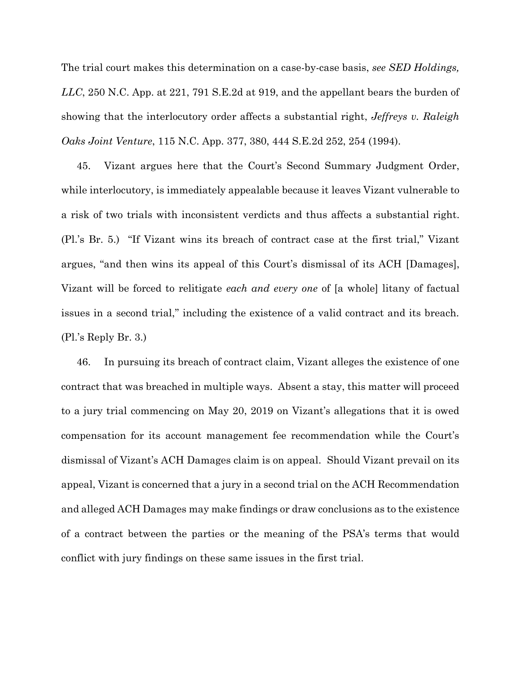The trial court makes this determination on a case-by-case basis, *see SED Holdings, LLC*, 250 N.C. App. at 221, 791 S.E.2d at 919, and the appellant bears the burden of showing that the interlocutory order affects a substantial right, *Jeffreys v. Raleigh Oaks Joint Venture*, 115 N.C. App. 377, 380, 444 S.E.2d 252, 254 (1994).

45. Vizant argues here that the Court's Second Summary Judgment Order, while interlocutory, is immediately appealable because it leaves Vizant vulnerable to a risk of two trials with inconsistent verdicts and thus affects a substantial right. (Pl.'s Br. 5.) "If Vizant wins its breach of contract case at the first trial," Vizant argues, "and then wins its appeal of this Court's dismissal of its ACH [Damages], Vizant will be forced to relitigate *each and every one* of [a whole] litany of factual issues in a second trial," including the existence of a valid contract and its breach. (Pl.'s Reply Br. 3.)

46. In pursuing its breach of contract claim, Vizant alleges the existence of one contract that was breached in multiple ways. Absent a stay, this matter will proceed to a jury trial commencing on May 20, 2019 on Vizant's allegations that it is owed compensation for its account management fee recommendation while the Court's dismissal of Vizant's ACH Damages claim is on appeal. Should Vizant prevail on its appeal, Vizant is concerned that a jury in a second trial on the ACH Recommendation and alleged ACH Damages may make findings or draw conclusions as to the existence of a contract between the parties or the meaning of the PSA's terms that would conflict with jury findings on these same issues in the first trial.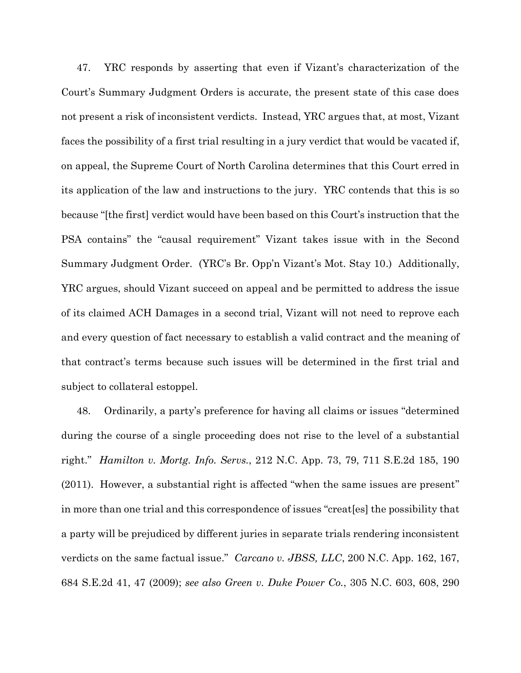47. YRC responds by asserting that even if Vizant's characterization of the Court's Summary Judgment Orders is accurate, the present state of this case does not present a risk of inconsistent verdicts. Instead, YRC argues that, at most, Vizant faces the possibility of a first trial resulting in a jury verdict that would be vacated if, on appeal, the Supreme Court of North Carolina determines that this Court erred in its application of the law and instructions to the jury. YRC contends that this is so because "[the first] verdict would have been based on this Court's instruction that the PSA contains" the "causal requirement" Vizant takes issue with in the Second Summary Judgment Order. (YRC's Br. Opp'n Vizant's Mot. Stay 10.) Additionally, YRC argues, should Vizant succeed on appeal and be permitted to address the issue of its claimed ACH Damages in a second trial, Vizant will not need to reprove each and every question of fact necessary to establish a valid contract and the meaning of that contract's terms because such issues will be determined in the first trial and subject to collateral estoppel.

48. Ordinarily, a party's preference for having all claims or issues "determined during the course of a single proceeding does not rise to the level of a substantial right." *Hamilton v. Mortg. Info. Servs.*, 212 N.C. App. 73, 79, 711 S.E.2d 185, 190 (2011). However, a substantial right is affected "when the same issues are present" in more than one trial and this correspondence of issues "creat[es] the possibility that a party will be prejudiced by different juries in separate trials rendering inconsistent verdicts on the same factual issue." *Carcano v. JBSS, LLC*, 200 N.C. App. 162, 167, 684 S.E.2d 41, 47 (2009); *see also Green v. Duke Power Co.*, 305 N.C. 603, 608, 290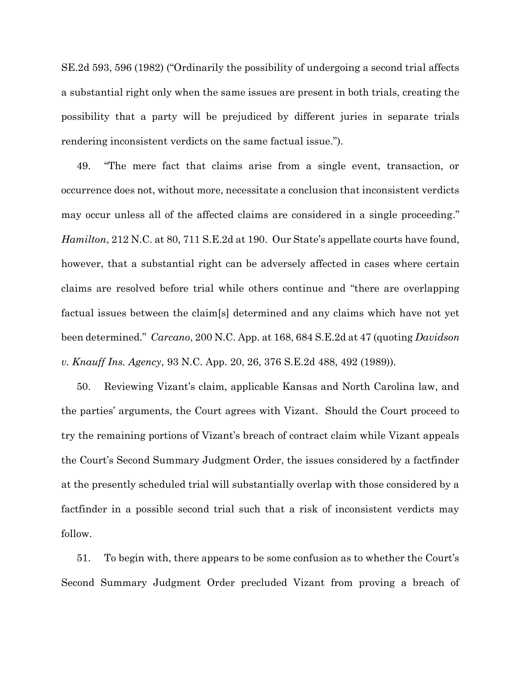SE.2d 593, 596 (1982) ("Ordinarily the possibility of undergoing a second trial affects a substantial right only when the same issues are present in both trials, creating the possibility that a party will be prejudiced by different juries in separate trials rendering inconsistent verdicts on the same factual issue.").

49. "The mere fact that claims arise from a single event, transaction, or occurrence does not, without more, necessitate a conclusion that inconsistent verdicts may occur unless all of the affected claims are considered in a single proceeding." *Hamilton*, 212 N.C. at 80, 711 S.E.2d at 190. Our State's appellate courts have found, however, that a substantial right can be adversely affected in cases where certain claims are resolved before trial while others continue and "there are overlapping factual issues between the claim[s] determined and any claims which have not yet been determined." *Carcano*, 200 N.C. App. at 168, 684 S.E.2d at 47 (quoting *Davidson v. Knauff Ins. Agency*, 93 N.C. App. 20, 26, 376 S.E.2d 488, 492 (1989)).

50. Reviewing Vizant's claim, applicable Kansas and North Carolina law, and the parties' arguments, the Court agrees with Vizant. Should the Court proceed to try the remaining portions of Vizant's breach of contract claim while Vizant appeals the Court's Second Summary Judgment Order, the issues considered by a factfinder at the presently scheduled trial will substantially overlap with those considered by a factfinder in a possible second trial such that a risk of inconsistent verdicts may follow.

51. To begin with, there appears to be some confusion as to whether the Court's Second Summary Judgment Order precluded Vizant from proving a breach of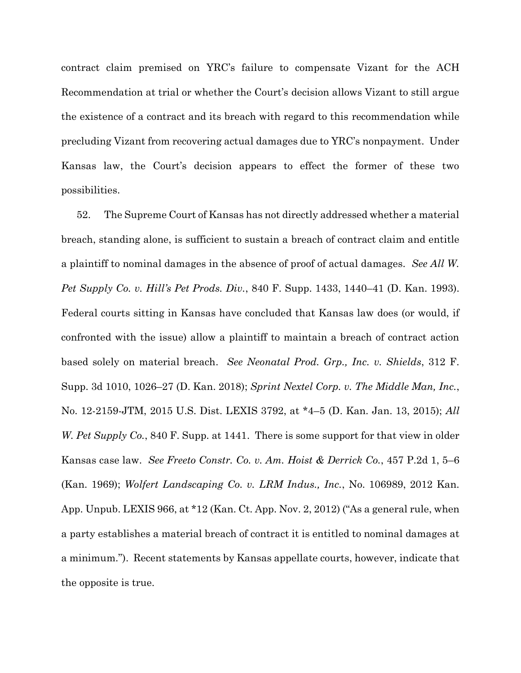contract claim premised on YRC's failure to compensate Vizant for the ACH Recommendation at trial or whether the Court's decision allows Vizant to still argue the existence of a contract and its breach with regard to this recommendation while precluding Vizant from recovering actual damages due to YRC's nonpayment. Under Kansas law, the Court's decision appears to effect the former of these two possibilities.

52. The Supreme Court of Kansas has not directly addressed whether a material breach, standing alone, is sufficient to sustain a breach of contract claim and entitle a plaintiff to nominal damages in the absence of proof of actual damages. *See All W. Pet Supply Co. v. Hill's Pet Prods. Div.*, 840 F. Supp. 1433, 1440–41 (D. Kan. 1993). Federal courts sitting in Kansas have concluded that Kansas law does (or would, if confronted with the issue) allow a plaintiff to maintain a breach of contract action based solely on material breach. *See Neonatal Prod. Grp., Inc. v. Shields*, 312 F. Supp. 3d 1010, 1026–27 (D. Kan. 2018); *Sprint Nextel Corp. v. The Middle Man, Inc.*, No. 12-2159-JTM, 2015 U.S. Dist. LEXIS 3792, at \*4–5 (D. Kan. Jan. 13, 2015); *All W. Pet Supply Co.*, 840 F. Supp. at 1441. There is some support for that view in older Kansas case law. *See Freeto Constr. Co. v. Am. Hoist & Derrick Co.*, 457 P.2d 1, 5–6 (Kan. 1969); *Wolfert Landscaping Co. v. LRM Indus., Inc.*, No. 106989, 2012 Kan. App. Unpub. LEXIS 966, at \*12 (Kan. Ct. App. Nov. 2, 2012) ("As a general rule, when a party establishes a material breach of contract it is entitled to nominal damages at a minimum."). Recent statements by Kansas appellate courts, however, indicate that the opposite is true.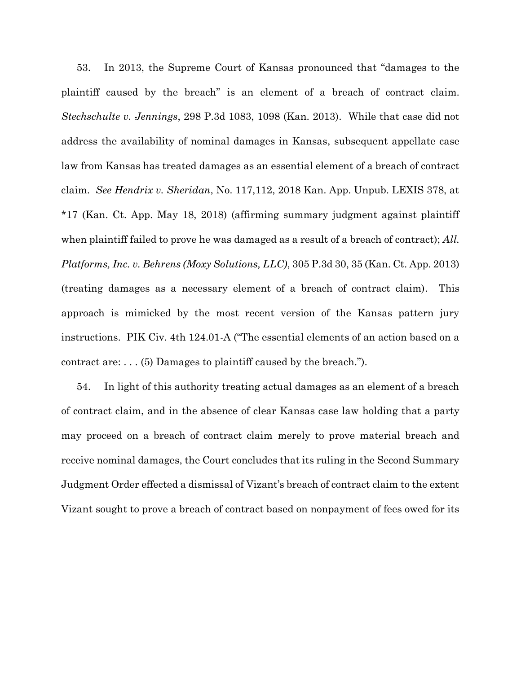53. In 2013, the Supreme Court of Kansas pronounced that "damages to the plaintiff caused by the breach" is an element of a breach of contract claim. *Stechschulte v. Jennings*, 298 P.3d 1083, 1098 (Kan. 2013). While that case did not address the availability of nominal damages in Kansas, subsequent appellate case law from Kansas has treated damages as an essential element of a breach of contract claim. *See Hendrix v. Sheridan*, No. 117,112, 2018 Kan. App. Unpub. LEXIS 378, at \*17 (Kan. Ct. App. May 18, 2018) (affirming summary judgment against plaintiff when plaintiff failed to prove he was damaged as a result of a breach of contract); *All. Platforms, Inc. v. Behrens (Moxy Solutions, LLC)*, 305 P.3d 30, 35 (Kan. Ct. App. 2013) (treating damages as a necessary element of a breach of contract claim). This approach is mimicked by the most recent version of the Kansas pattern jury instructions. PIK Civ. 4th 124.01-A ("The essential elements of an action based on a contract are: . . . (5) Damages to plaintiff caused by the breach.").

54. In light of this authority treating actual damages as an element of a breach of contract claim, and in the absence of clear Kansas case law holding that a party may proceed on a breach of contract claim merely to prove material breach and receive nominal damages, the Court concludes that its ruling in the Second Summary Judgment Order effected a dismissal of Vizant's breach of contract claim to the extent Vizant sought to prove a breach of contract based on nonpayment of fees owed for its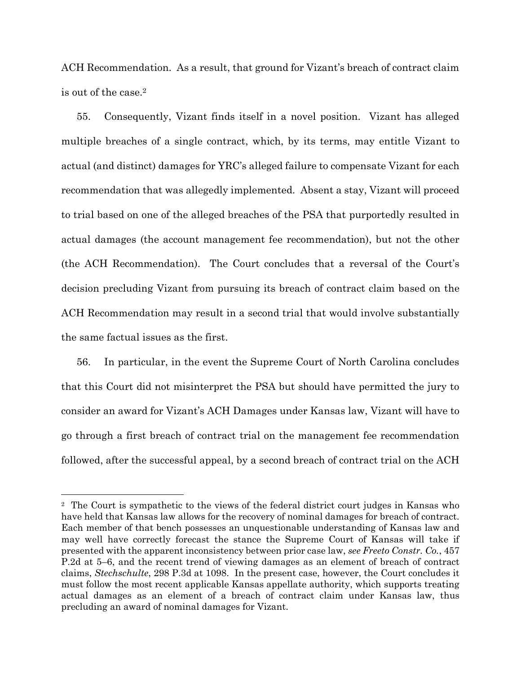ACH Recommendation. As a result, that ground for Vizant's breach of contract claim is out of the case.<sup>2</sup>

55. Consequently, Vizant finds itself in a novel position. Vizant has alleged multiple breaches of a single contract, which, by its terms, may entitle Vizant to actual (and distinct) damages for YRC's alleged failure to compensate Vizant for each recommendation that was allegedly implemented. Absent a stay, Vizant will proceed to trial based on one of the alleged breaches of the PSA that purportedly resulted in actual damages (the account management fee recommendation), but not the other (the ACH Recommendation). The Court concludes that a reversal of the Court's decision precluding Vizant from pursuing its breach of contract claim based on the ACH Recommendation may result in a second trial that would involve substantially the same factual issues as the first.

56. In particular, in the event the Supreme Court of North Carolina concludes that this Court did not misinterpret the PSA but should have permitted the jury to consider an award for Vizant's ACH Damages under Kansas law, Vizant will have to go through a first breach of contract trial on the management fee recommendation followed, after the successful appeal, by a second breach of contract trial on the ACH

 $\overline{a}$ 

<sup>2</sup> The Court is sympathetic to the views of the federal district court judges in Kansas who have held that Kansas law allows for the recovery of nominal damages for breach of contract. Each member of that bench possesses an unquestionable understanding of Kansas law and may well have correctly forecast the stance the Supreme Court of Kansas will take if presented with the apparent inconsistency between prior case law, *see Freeto Constr. Co.*, 457 P.2d at 5–6, and the recent trend of viewing damages as an element of breach of contract claims, *Stechschulte*, 298 P.3d at 1098. In the present case, however, the Court concludes it must follow the most recent applicable Kansas appellate authority, which supports treating actual damages as an element of a breach of contract claim under Kansas law, thus precluding an award of nominal damages for Vizant.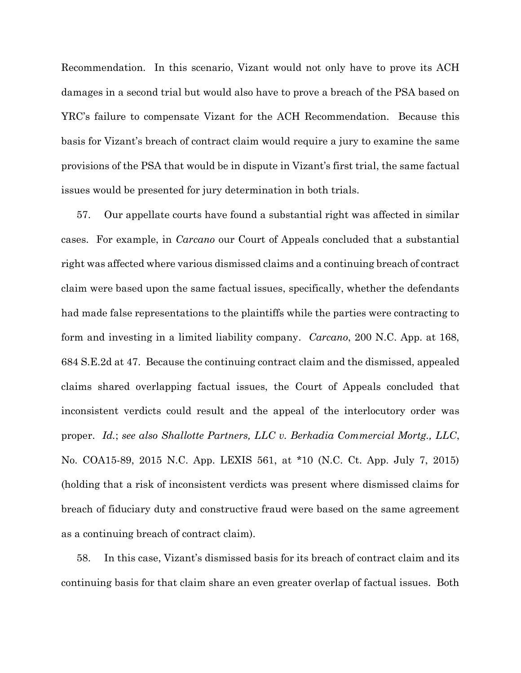Recommendation. In this scenario, Vizant would not only have to prove its ACH damages in a second trial but would also have to prove a breach of the PSA based on YRC's failure to compensate Vizant for the ACH Recommendation. Because this basis for Vizant's breach of contract claim would require a jury to examine the same provisions of the PSA that would be in dispute in Vizant's first trial, the same factual issues would be presented for jury determination in both trials.

57. Our appellate courts have found a substantial right was affected in similar cases. For example, in *Carcano* our Court of Appeals concluded that a substantial right was affected where various dismissed claims and a continuing breach of contract claim were based upon the same factual issues, specifically, whether the defendants had made false representations to the plaintiffs while the parties were contracting to form and investing in a limited liability company. *Carcano*, 200 N.C. App. at 168, 684 S.E.2d at 47. Because the continuing contract claim and the dismissed, appealed claims shared overlapping factual issues, the Court of Appeals concluded that inconsistent verdicts could result and the appeal of the interlocutory order was proper. *Id.*; *see also Shallotte Partners, LLC v. Berkadia Commercial Mortg., LLC*, No. COA15-89, 2015 N.C. App. LEXIS 561, at \*10 (N.C. Ct. App. July 7, 2015) (holding that a risk of inconsistent verdicts was present where dismissed claims for breach of fiduciary duty and constructive fraud were based on the same agreement as a continuing breach of contract claim).

58. In this case, Vizant's dismissed basis for its breach of contract claim and its continuing basis for that claim share an even greater overlap of factual issues. Both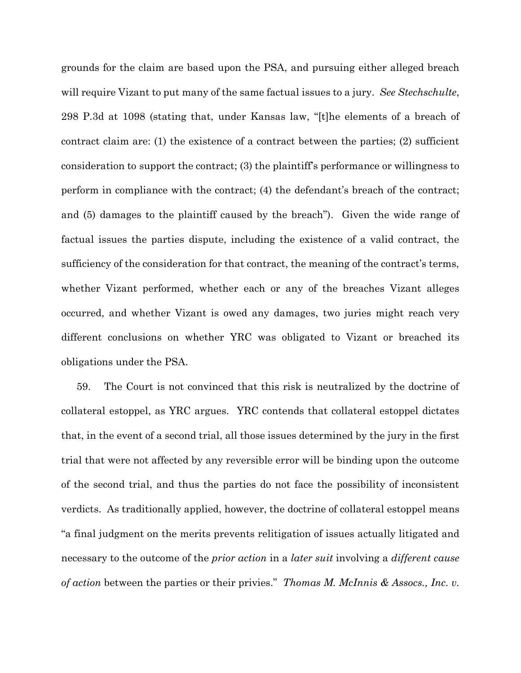grounds for the claim are based upon the PSA, and pursuing either alleged breach will require Vizant to put many of the same factual issues to a jury. *See Stechschulte*, 298 P.3d at 1098 (stating that, under Kansas law, "[t]he elements of a breach of contract claim are: (1) the existence of a contract between the parties; (2) sufficient consideration to support the contract; (3) the plaintiff's performance or willingness to perform in compliance with the contract; (4) the defendant's breach of the contract; and (5) damages to the plaintiff caused by the breach"). Given the wide range of factual issues the parties dispute, including the existence of a valid contract, the sufficiency of the consideration for that contract, the meaning of the contract's terms, whether Vizant performed, whether each or any of the breaches Vizant alleges occurred, and whether Vizant is owed any damages, two juries might reach very different conclusions on whether YRC was obligated to Vizant or breached its obligations under the PSA.

59. The Court is not convinced that this risk is neutralized by the doctrine of collateral estoppel, as YRC argues. YRC contends that collateral estoppel dictates that, in the event of a second trial, all those issues determined by the jury in the first trial that were not affected by any reversible error will be binding upon the outcome of the second trial, and thus the parties do not face the possibility of inconsistent verdicts. As traditionally applied, however, the doctrine of collateral estoppel means "a final judgment on the merits prevents relitigation of issues actually litigated and necessary to the outcome of the *prior action* in a *later suit* involving a *different cause of action* between the parties or their privies." *Thomas M. McInnis & Assocs., Inc. v.*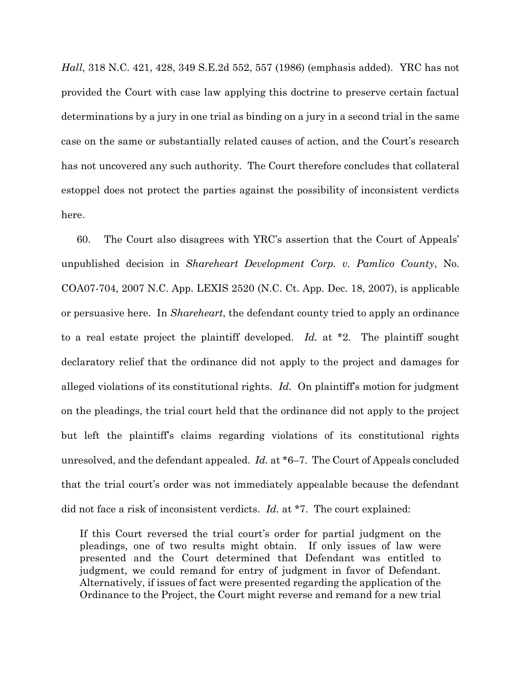*Hall*, 318 N.C. 421, 428, 349 S.E.2d 552, 557 (1986) (emphasis added). YRC has not provided the Court with case law applying this doctrine to preserve certain factual determinations by a jury in one trial as binding on a jury in a second trial in the same case on the same or substantially related causes of action, and the Court's research has not uncovered any such authority. The Court therefore concludes that collateral estoppel does not protect the parties against the possibility of inconsistent verdicts here.

60. The Court also disagrees with YRC's assertion that the Court of Appeals' unpublished decision in *Shareheart Development Corp. v. Pamlico County*, No. COA07-704, 2007 N.C. App. LEXIS 2520 (N.C. Ct. App. Dec. 18, 2007), is applicable or persuasive here. In *Shareheart*, the defendant county tried to apply an ordinance to a real estate project the plaintiff developed. *Id.* at \*2. The plaintiff sought declaratory relief that the ordinance did not apply to the project and damages for alleged violations of its constitutional rights. *Id.* On plaintiff's motion for judgment on the pleadings, the trial court held that the ordinance did not apply to the project but left the plaintiff's claims regarding violations of its constitutional rights unresolved, and the defendant appealed. *Id.* at \*6–7. The Court of Appeals concluded that the trial court's order was not immediately appealable because the defendant did not face a risk of inconsistent verdicts. *Id.* at \*7. The court explained:

If this Court reversed the trial court's order for partial judgment on the pleadings, one of two results might obtain. If only issues of law were presented and the Court determined that Defendant was entitled to judgment, we could remand for entry of judgment in favor of Defendant. Alternatively, if issues of fact were presented regarding the application of the Ordinance to the Project, the Court might reverse and remand for a new trial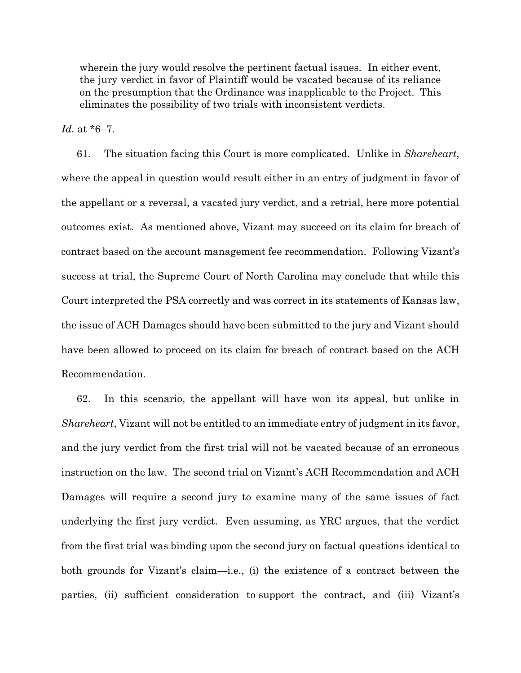wherein the jury would resolve the pertinent factual issues. In either event, the jury verdict in favor of Plaintiff would be vacated because of its reliance on the presumption that the Ordinance was inapplicable to the Project. This eliminates the possibility of two trials with inconsistent verdicts.

*Id.* at \*6–7.

61. The situation facing this Court is more complicated. Unlike in *Shareheart*, where the appeal in question would result either in an entry of judgment in favor of the appellant or a reversal, a vacated jury verdict, and a retrial, here more potential outcomes exist. As mentioned above, Vizant may succeed on its claim for breach of contract based on the account management fee recommendation. Following Vizant's success at trial, the Supreme Court of North Carolina may conclude that while this Court interpreted the PSA correctly and was correct in its statements of Kansas law, the issue of ACH Damages should have been submitted to the jury and Vizant should have been allowed to proceed on its claim for breach of contract based on the ACH Recommendation.

62. In this scenario, the appellant will have won its appeal, but unlike in *Shareheart*, Vizant will not be entitled to an immediate entry of judgment in its favor, and the jury verdict from the first trial will not be vacated because of an erroneous instruction on the law. The second trial on Vizant's ACH Recommendation and ACH Damages will require a second jury to examine many of the same issues of fact underlying the first jury verdict. Even assuming, as YRC argues, that the verdict from the first trial was binding upon the second jury on factual questions identical to both grounds for Vizant's claim—i.e., (i) the existence of a contract between the parties, (ii) sufficient consideration to support the contract, and (iii) Vizant's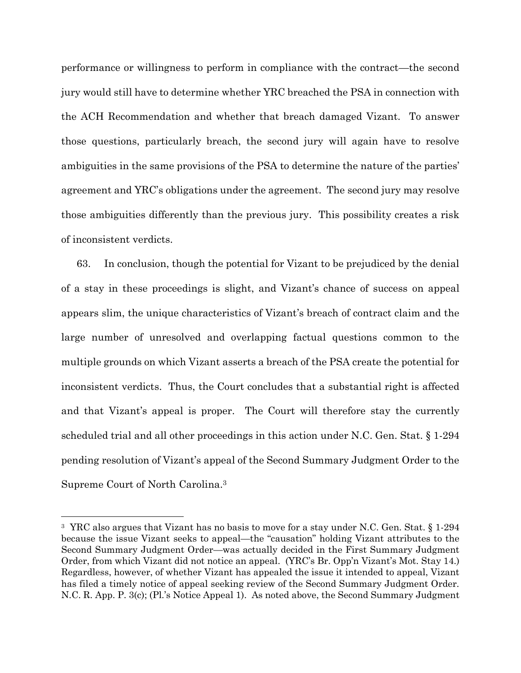performance or willingness to perform in compliance with the contract—the second jury would still have to determine whether YRC breached the PSA in connection with the ACH Recommendation and whether that breach damaged Vizant. To answer those questions, particularly breach, the second jury will again have to resolve ambiguities in the same provisions of the PSA to determine the nature of the parties' agreement and YRC's obligations under the agreement. The second jury may resolve those ambiguities differently than the previous jury. This possibility creates a risk of inconsistent verdicts.

63. In conclusion, though the potential for Vizant to be prejudiced by the denial of a stay in these proceedings is slight, and Vizant's chance of success on appeal appears slim, the unique characteristics of Vizant's breach of contract claim and the large number of unresolved and overlapping factual questions common to the multiple grounds on which Vizant asserts a breach of the PSA create the potential for inconsistent verdicts. Thus, the Court concludes that a substantial right is affected and that Vizant's appeal is proper. The Court will therefore stay the currently scheduled trial and all other proceedings in this action under N.C. Gen. Stat. § 1-294 pending resolution of Vizant's appeal of the Second Summary Judgment Order to the Supreme Court of North Carolina. 3

 $\overline{a}$ 

<sup>3</sup> YRC also argues that Vizant has no basis to move for a stay under N.C. Gen. Stat. § 1-294 because the issue Vizant seeks to appeal—the "causation" holding Vizant attributes to the Second Summary Judgment Order—was actually decided in the First Summary Judgment Order, from which Vizant did not notice an appeal. (YRC's Br. Opp'n Vizant's Mot. Stay 14.) Regardless, however, of whether Vizant has appealed the issue it intended to appeal, Vizant has filed a timely notice of appeal seeking review of the Second Summary Judgment Order. N.C. R. App. P. 3(c); (Pl.'s Notice Appeal 1). As noted above, the Second Summary Judgment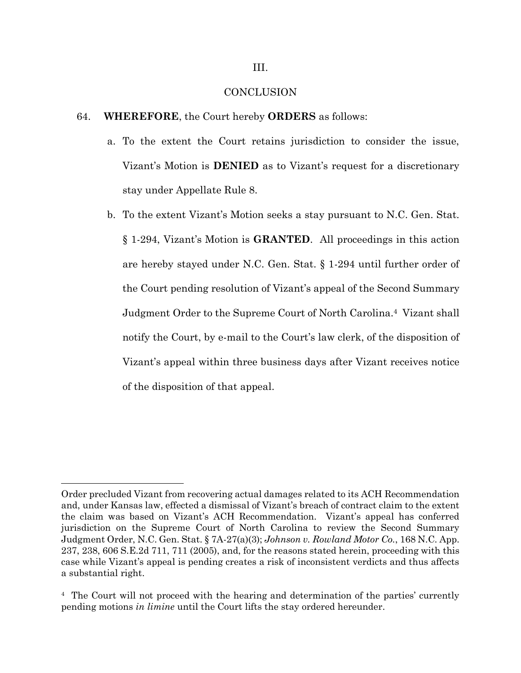### **CONCLUSION**

- 64. **WHEREFORE**, the Court hereby **ORDERS** as follows:
	- a. To the extent the Court retains jurisdiction to consider the issue, Vizant's Motion is **DENIED** as to Vizant's request for a discretionary stay under Appellate Rule 8.
	- b. To the extent Vizant's Motion seeks a stay pursuant to N.C. Gen. Stat. § 1-294, Vizant's Motion is **GRANTED**. All proceedings in this action are hereby stayed under N.C. Gen. Stat. § 1-294 until further order of the Court pending resolution of Vizant's appeal of the Second Summary Judgment Order to the Supreme Court of North Carolina.<sup>4</sup> Vizant shall notify the Court, by e-mail to the Court's law clerk, of the disposition of Vizant's appeal within three business days after Vizant receives notice of the disposition of that appeal.

 $\overline{a}$ 

Order precluded Vizant from recovering actual damages related to its ACH Recommendation and, under Kansas law, effected a dismissal of Vizant's breach of contract claim to the extent the claim was based on Vizant's ACH Recommendation. Vizant's appeal has conferred jurisdiction on the Supreme Court of North Carolina to review the Second Summary Judgment Order, N.C. Gen. Stat. § 7A-27(a)(3); *Johnson v. Rowland Motor Co.*, 168 N.C. App. 237, 238, 606 S.E.2d 711, 711 (2005), and, for the reasons stated herein, proceeding with this case while Vizant's appeal is pending creates a risk of inconsistent verdicts and thus affects a substantial right.

<sup>4</sup> The Court will not proceed with the hearing and determination of the parties' currently pending motions *in limine* until the Court lifts the stay ordered hereunder.